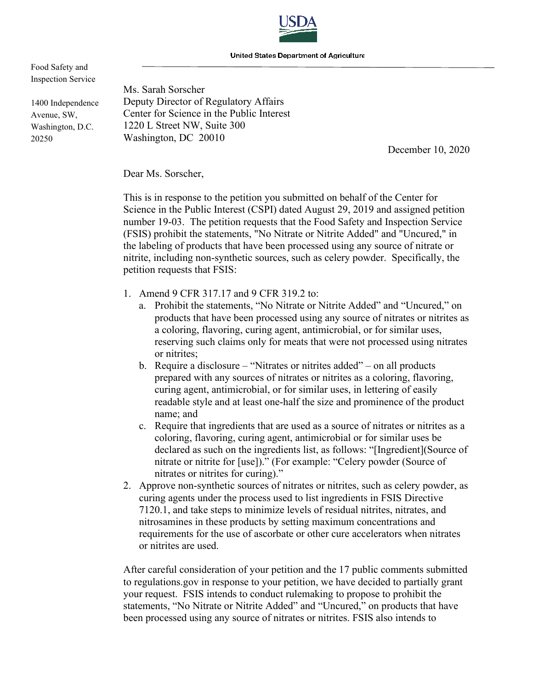

United States Department of Agriculture

Food Safety and Inspection Service

1400 Independence Avenue, SW, Washington, D.C. 20250

Ms. Sarah Sorscher Deputy Director of Regulatory Affairs Center for Science in the Public Interest 1220 L Street NW, Suite 300 Washington, DC 20010

December 10, 2020

Dear Ms. Sorscher,

This is in response to the petition you submitted on behalf of the Center for Science in the Public Interest (CSPI) dated August 29, 2019 and assigned petition number 19-03. The petition requests that the Food Safety and Inspection Service (FSIS) prohibit the statements, "No Nitrate or Nitrite Added" and "Uncured," in the labeling of products that have been processed using any source of nitrate or nitrite, including non-synthetic sources, such as celery powder. Specifically, the petition requests that FSIS:

- 1. Amend 9 CFR 317.17 and 9 CFR 319.2 to:
	- a. Prohibit the statements, "No Nitrate or Nitrite Added" and "Uncured," on products that have been processed using any source of nitrates or nitrites as a coloring, flavoring, curing agent, antimicrobial, or for similar uses, reserving such claims only for meats that were not processed using nitrates or nitrites;
	- b. Require a disclosure "Nitrates or nitrites added" on all products prepared with any sources of nitrates or nitrites as a coloring, flavoring, curing agent, antimicrobial, or for similar uses, in lettering of easily readable style and at least one-half the size and prominence of the product name; and
	- c. Require that ingredients that are used as a source of nitrates or nitrites as a coloring, flavoring, curing agent, antimicrobial or for similar uses be declared as such on the ingredients list, as follows: "[Ingredient](Source of nitrate or nitrite for [use])." (For example: "Celery powder (Source of nitrates or nitrites for curing)."
- 2. Approve non-synthetic sources of nitrates or nitrites, such as celery powder, as curing agents under the process used to list ingredients in FSIS Directive 7120.1, and take steps to minimize levels of residual nitrites, nitrates, and nitrosamines in these products by setting maximum concentrations and requirements for the use of ascorbate or other cure accelerators when nitrates or nitrites are used.

After careful consideration of your petition and the 17 public comments submitted to regulations.gov in response to your petition, we have decided to partially grant your request. FSIS intends to conduct rulemaking to propose to prohibit the statements, "No Nitrate or Nitrite Added" and "Uncured," on products that have been processed using any source of nitrates or nitrites. FSIS also intends to